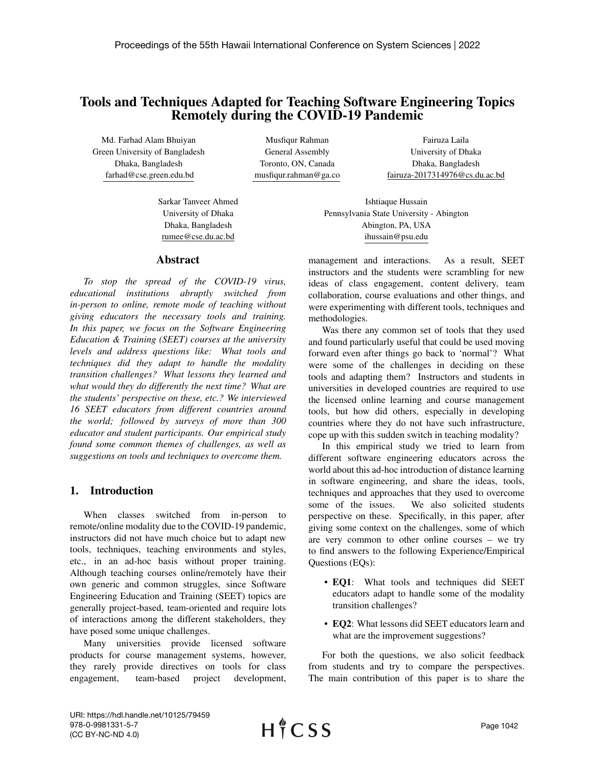# Tools and Techniques Adapted for Teaching Software Engineering Topics Remotely during the COVID-19 Pandemic

Md. Farhad Alam Bhuiyan Green University of Bangladesh Dhaka, Bangladesh farhad@cse.green.edu.bd

Musfiqur Rahman General Assembly Toronto, ON, Canada musfiqur.rahman@ga.co

Fairuza Laila University of Dhaka Dhaka, Bangladesh fairuza-2017314976@cs.du.ac.bd

Sarkar Tanveer Ahmed University of Dhaka Dhaka, Bangladesh rumee@cse.du.ac.bd

### Abstract

*To stop the spread of the COVID-19 virus, educational institutions abruptly switched from in-person to online, remote mode of teaching without giving educators the necessary tools and training. In this paper, we focus on the Software Engineering Education & Training (SEET) courses at the university levels and address questions like: What tools and techniques did they adapt to handle the modality transition challenges? What lessons they learned and what would they do differently the next time? What are the students' perspective on these, etc.? We interviewed 16 SEET educators from different countries around the world; followed by surveys of more than 300 educator and student participants. Our empirical study found some common themes of challenges, as well as suggestions on tools and techniques to overcome them.*

## 1. Introduction

When classes switched from in-person to remote/online modality due to the COVID-19 pandemic, instructors did not have much choice but to adapt new tools, techniques, teaching environments and styles, etc., in an ad-hoc basis without proper training. Although teaching courses online/remotely have their own generic and common struggles, since Software Engineering Education and Training (SEET) topics are generally project-based, team-oriented and require lots of interactions among the different stakeholders, they have posed some unique challenges.

Many universities provide licensed software products for course management systems, however, they rarely provide directives on tools for class engagement, team-based project development,

Ishtiaque Hussain Pennsylvania State University - Abington Abington, PA, USA ihussain@psu.edu

management and interactions. As a result, SEET instructors and the students were scrambling for new ideas of class engagement, content delivery, team collaboration, course evaluations and other things, and were experimenting with different tools, techniques and methodologies.

Was there any common set of tools that they used and found particularly useful that could be used moving forward even after things go back to 'normal'? What were some of the challenges in deciding on these tools and adapting them? Instructors and students in universities in developed countries are required to use the licensed online learning and course management tools, but how did others, especially in developing countries where they do not have such infrastructure, cope up with this sudden switch in teaching modality?

In this empirical study we tried to learn from different software engineering educators across the world about this ad-hoc introduction of distance learning in software engineering, and share the ideas, tools, techniques and approaches that they used to overcome some of the issues. We also solicited students perspective on these. Specifically, in this paper, after giving some context on the challenges, some of which are very common to other online courses – we try to find answers to the following Experience/Empirical Questions (EQs):

- EQ1: What tools and techniques did SEET educators adapt to handle some of the modality transition challenges?
- EQ2: What lessons did SEET educators learn and what are the improvement suggestions?

For both the questions, we also solicit feedback from students and try to compare the perspectives. The main contribution of this paper is to share the

URI: https://hdl.handle.net/10125/79459 978-0-9981331-5-7 (CC BY-NC-ND 4.0)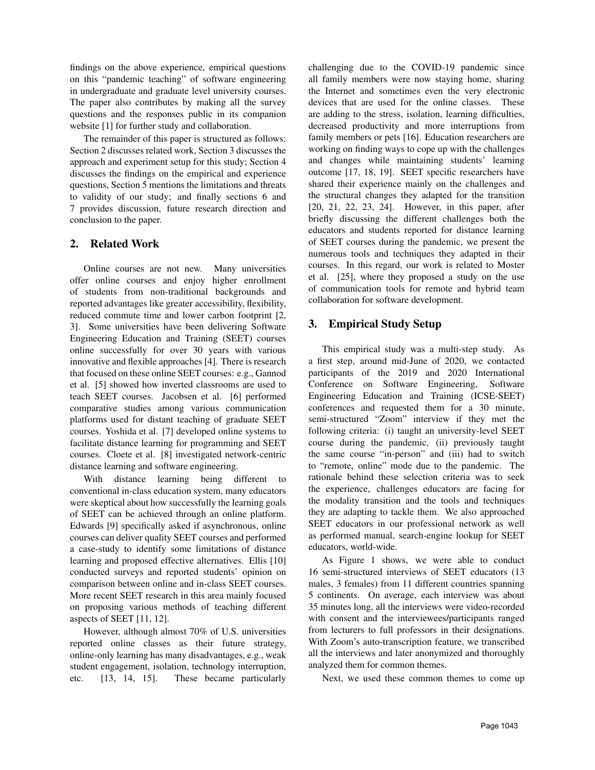findings on the above experience, empirical questions on this "pandemic teaching" of software engineering in undergraduate and graduate level university courses. The paper also contributes by making all the survey questions and the responses public in its companion website [1] for further study and collaboration.

The remainder of this paper is structured as follows: Section 2 discusses related work, Section 3 discusses the approach and experiment setup for this study; Section 4 discusses the findings on the empirical and experience questions, Section 5 mentions the limitations and threats to validity of our study; and finally sections 6 and 7 provides discussion, future research direction and conclusion to the paper.

## 2. Related Work

Online courses are not new. Many universities offer online courses and enjoy higher enrollment of students from non-traditional backgrounds and reported advantages like greater accessibility, flexibility, reduced commute time and lower carbon footprint [2, 3]. Some universities have been delivering Software Engineering Education and Training (SEET) courses online successfully for over 30 years with various innovative and flexible approaches [4]. There is research that focused on these online SEET courses: e.g., Gannod et al. [5] showed how inverted classrooms are used to teach SEET courses. Jacobsen et al. [6] performed comparative studies among various communication platforms used for distant teaching of graduate SEET courses. Yoshida et al. [7] developed online systems to facilitate distance learning for programming and SEET courses. Cloete et al. [8] investigated network-centric distance learning and software engineering.

With distance learning being different to conventional in-class education system, many educators were skeptical about how successfully the learning goals of SEET can be achieved through an online platform. Edwards [9] specifically asked if asynchronous, online courses can deliver quality SEET courses and performed a case-study to identify some limitations of distance learning and proposed effective alternatives. Ellis [10] conducted surveys and reported students' opinion on comparison between online and in-class SEET courses. More recent SEET research in this area mainly focused on proposing various methods of teaching different aspects of SEET [11, 12].

However, although almost 70% of U.S. universities reported online classes as their future strategy, online-only learning has many disadvantages, e.g., weak student engagement, isolation, technology interruption, etc. [13, 14, 15]. These became particularly challenging due to the COVID-19 pandemic since all family members were now staying home, sharing the Internet and sometimes even the very electronic devices that are used for the online classes. These are adding to the stress, isolation, learning difficulties, decreased productivity and more interruptions from family members or pets [16]. Education researchers are working on finding ways to cope up with the challenges and changes while maintaining students' learning outcome [17, 18, 19]. SEET specific researchers have shared their experience mainly on the challenges and the structural changes they adapted for the transition [20, 21, 22, 23, 24]. However, in this paper, after briefly discussing the different challenges both the educators and students reported for distance learning of SEET courses during the pandemic, we present the numerous tools and techniques they adapted in their courses. In this regard, our work is related to Moster et al. [25], where they proposed a study on the use of communication tools for remote and hybrid team collaboration for software development.

## 3. Empirical Study Setup

This empirical study was a multi-step study. As a first step, around mid-June of 2020, we contacted participants of the 2019 and 2020 International Conference on Software Engineering, Software Engineering Education and Training (ICSE-SEET) conferences and requested them for a 30 minute, semi-structured "Zoom" interview if they met the following criteria: (i) taught an university-level SEET course during the pandemic, (ii) previously taught the same course "in-person" and (iii) had to switch to "remote, online" mode due to the pandemic. The rationale behind these selection criteria was to seek the experience, challenges educators are facing for the modality transition and the tools and techniques they are adapting to tackle them. We also approached SEET educators in our professional network as well as performed manual, search-engine lookup for SEET educators, world-wide.

As Figure 1 shows, we were able to conduct 16 semi-structured interviews of SEET educators (13 males, 3 females) from 11 different countries spanning 5 continents. On average, each interview was about 35 minutes long, all the interviews were video-recorded with consent and the interviewees/participants ranged from lecturers to full professors in their designations. With Zoom's auto-transcription feature, we transcribed all the interviews and later anonymized and thoroughly analyzed them for common themes.

Next, we used these common themes to come up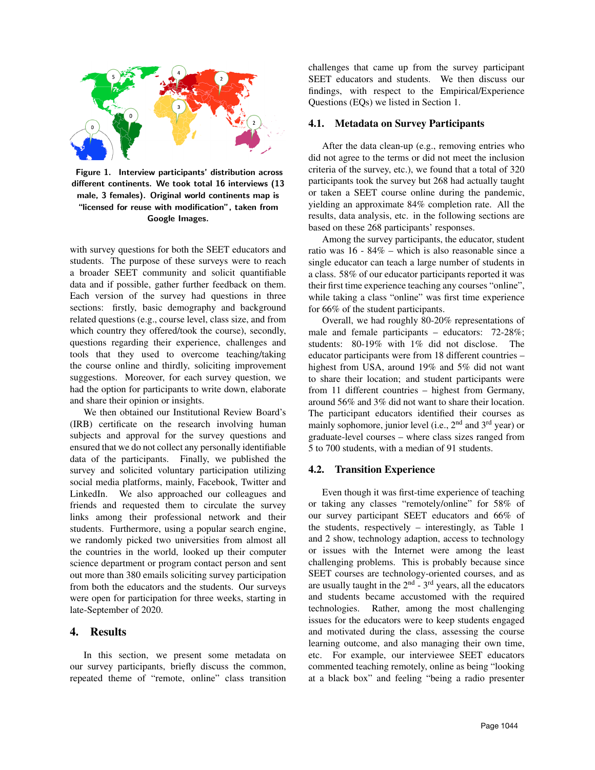

Figure 1. Interview participants' distribution across different continents. We took total 16 interviews (13 male, 3 females). Original world continents map is "licensed for reuse with modification", taken from Google Images.

with survey questions for both the SEET educators and students. The purpose of these surveys were to reach a broader SEET community and solicit quantifiable data and if possible, gather further feedback on them. Each version of the survey had questions in three sections: firstly, basic demography and background related questions (e.g., course level, class size, and from which country they offered/took the course), secondly, questions regarding their experience, challenges and tools that they used to overcome teaching/taking the course online and thirdly, soliciting improvement suggestions. Moreover, for each survey question, we had the option for participants to write down, elaborate and share their opinion or insights.

We then obtained our Institutional Review Board's (IRB) certificate on the research involving human subjects and approval for the survey questions and ensured that we do not collect any personally identifiable data of the participants. Finally, we published the survey and solicited voluntary participation utilizing social media platforms, mainly, Facebook, Twitter and LinkedIn. We also approached our colleagues and friends and requested them to circulate the survey links among their professional network and their students. Furthermore, using a popular search engine, we randomly picked two universities from almost all the countries in the world, looked up their computer science department or program contact person and sent out more than 380 emails soliciting survey participation from both the educators and the students. Our surveys were open for participation for three weeks, starting in late-September of 2020.

#### 4. Results

In this section, we present some metadata on our survey participants, briefly discuss the common, repeated theme of "remote, online" class transition challenges that came up from the survey participant SEET educators and students. We then discuss our findings, with respect to the Empirical/Experience Questions (EQs) we listed in Section 1.

#### 4.1. Metadata on Survey Participants

After the data clean-up (e.g., removing entries who did not agree to the terms or did not meet the inclusion criteria of the survey, etc.), we found that a total of 320 participants took the survey but 268 had actually taught or taken a SEET course online during the pandemic, yielding an approximate 84% completion rate. All the results, data analysis, etc. in the following sections are based on these 268 participants' responses.

Among the survey participants, the educator, student ratio was 16 - 84% – which is also reasonable since a single educator can teach a large number of students in a class. 58% of our educator participants reported it was their first time experience teaching any courses "online", while taking a class "online" was first time experience for 66% of the student participants.

Overall, we had roughly 80-20% representations of male and female participants – educators: 72-28%; students: 80-19% with 1% did not disclose. The educator participants were from 18 different countries – highest from USA, around 19% and 5% did not want to share their location; and student participants were from 11 different countries – highest from Germany, around 56% and 3% did not want to share their location. The participant educators identified their courses as mainly sophomore, junior level (i.e., 2<sup>nd</sup> and 3<sup>rd</sup> year) or graduate-level courses – where class sizes ranged from 5 to 700 students, with a median of 91 students.

#### 4.2. Transition Experience

Even though it was first-time experience of teaching or taking any classes "remotely/online" for 58% of our survey participant SEET educators and 66% of the students, respectively – interestingly, as Table 1 and 2 show, technology adaption, access to technology or issues with the Internet were among the least challenging problems. This is probably because since SEET courses are technology-oriented courses, and as are usually taught in the  $2<sup>nd</sup> - 3<sup>rd</sup>$  years, all the educators and students became accustomed with the required technologies. Rather, among the most challenging issues for the educators were to keep students engaged and motivated during the class, assessing the course learning outcome, and also managing their own time, etc. For example, our interviewee SEET educators commented teaching remotely, online as being "looking at a black box" and feeling "being a radio presenter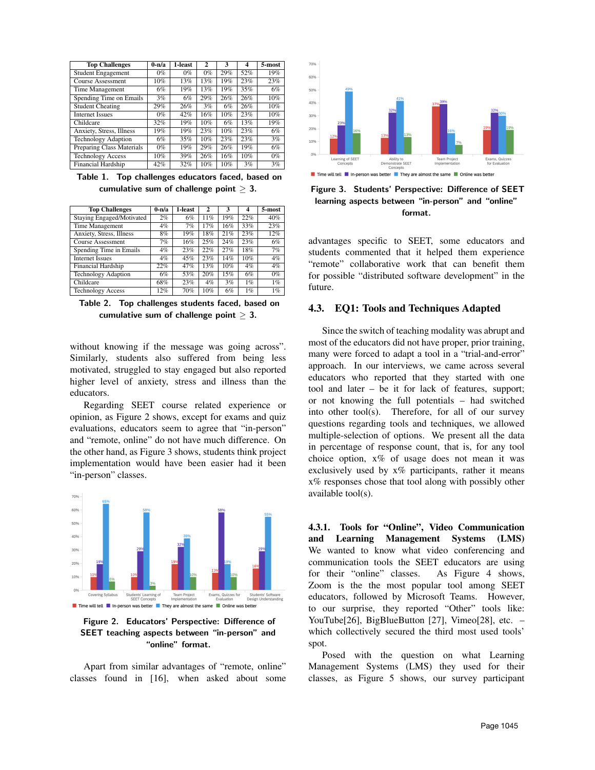| <b>Top Challenges</b>      | $0-n/a$ | 1-least | 2   | 3   | 4   | 5-most |
|----------------------------|---------|---------|-----|-----|-----|--------|
| <b>Student Engagement</b>  | $0\%$   | 0%      | 0%  | 29% | 52% | 19%    |
| Course Assessment          | 10%     | 13%     | 13% | 19% | 23% | 23%    |
| Time Management            | 6%      | 19%     | 13% | 19% | 35% | 6%     |
| Spending Time on Emails    | 3%      | 6%      | 29% | 26% | 26% | 10%    |
| <b>Student Cheating</b>    | 29%     | 26%     | 3%  | 6%  | 26% | 10%    |
| <b>Internet Issues</b>     | 0%      | 42%     | 16% | 10% | 23% | 10%    |
| Childcare                  | 32%     | 19%     | 10% | 6%  | 13% | 19%    |
| Anxiety, Stress, Illness   | 19%     | 19%     | 23% | 10% | 23% | 6%     |
| <b>Technology Adaption</b> | 6%      | 35%     | 10% | 23% | 23% | 3%     |
| Preparing Class Materials  | 0%      | 19%     | 29% | 26% | 19% | 6%     |
| <b>Technology Access</b>   | 10%     | 39%     | 26% | 16% | 10% | $0\%$  |
| <b>Financial Hardship</b>  | 42%     | 32%     | 10% | 10% | 3%  | 3%     |

Table 1. Top challenges educators faced, based on cumulative sum of challenge point  $> 3$ .

| <b>Top Challenges</b>            | $0 - n/a$ | 1-least | $\mathbf{2}$ | 3   | 4     | 5-most |
|----------------------------------|-----------|---------|--------------|-----|-------|--------|
| <b>Staying Engaged/Motivated</b> | 2%        | 6%      | 11%          | 19% | 22%   | 40%    |
| Time Management                  | $4\%$     | 7%      | 17%          | 16% | 33%   | 23%    |
| Anxiety, Stress, Illness         | 8%        | 19%     | 18%          | 21% | 23%   | 12%    |
| Course Assessment                | 7%        | 16%     | 25%          | 24% | 23%   | 6%     |
| Spending Time in Emails          | $4\%$     | 23%     | 22%          | 27% | 18%   | 7%     |
| <b>Internet Issues</b>           | 4%        | 45%     | 23%          | 14% | 10%   | $4\%$  |
| <b>Financial Hardship</b>        | 22%       | 47%     | 13%          | 10% | $4\%$ | $4\%$  |
| <b>Technology Adaption</b>       | 6%        | 53%     | 20%          | 15% | 6%    | $0\%$  |
| Childcare                        | 68%       | 23%     | $4\%$        | 3%  | 1%    | $1\%$  |
| <b>Technology Access</b>         | 12%       | 70%     | 10%          | 6%  | 1%    | 1%     |

Table 2. Top challenges students faced, based on cumulative sum of challenge point  $\geq 3$ .

without knowing if the message was going across". Similarly, students also suffered from being less motivated, struggled to stay engaged but also reported higher level of anxiety, stress and illness than the educators.

Regarding SEET course related experience or opinion, as Figure 2 shows, except for exams and quiz evaluations, educators seem to agree that "in-person" and "remote, online" do not have much difference. On the other hand, as Figure 3 shows, students think project implementation would have been easier had it been "in-person" classes.



Figure 2. Educators' Perspective: Difference of SEET teaching aspects between "in-person" and "online" format.

Apart from similar advantages of "remote, online" classes found in [16], when asked about some



Figure 3. Students' Perspective: Difference of SEET learning aspects between "in-person" and "online" format.

advantages specific to SEET, some educators and students commented that it helped them experience "remote" collaborative work that can benefit them for possible "distributed software development" in the future.

#### 4.3. EQ1: Tools and Techniques Adapted

Since the switch of teaching modality was abrupt and most of the educators did not have proper, prior training, many were forced to adapt a tool in a "trial-and-error" approach. In our interviews, we came across several educators who reported that they started with one tool and later – be it for lack of features, support; or not knowing the full potentials – had switched into other tool(s). Therefore, for all of our survey questions regarding tools and techniques, we allowed multiple-selection of options. We present all the data in percentage of response count, that is, for any tool choice option, x% of usage does not mean it was exclusively used by  $x\%$  participants, rather it means x% responses chose that tool along with possibly other available tool(s).

4.3.1. Tools for "Online", Video Communication and Learning Management Systems (LMS) We wanted to know what video conferencing and communication tools the SEET educators are using for their "online" classes. As Figure 4 shows, Zoom is the the most popular tool among SEET educators, followed by Microsoft Teams. However, to our surprise, they reported "Other" tools like: YouTube[26], BigBlueButton [27], Vimeo[28], etc. – which collectively secured the third most used tools' spot.

Posed with the question on what Learning Management Systems (LMS) they used for their classes, as Figure 5 shows, our survey participant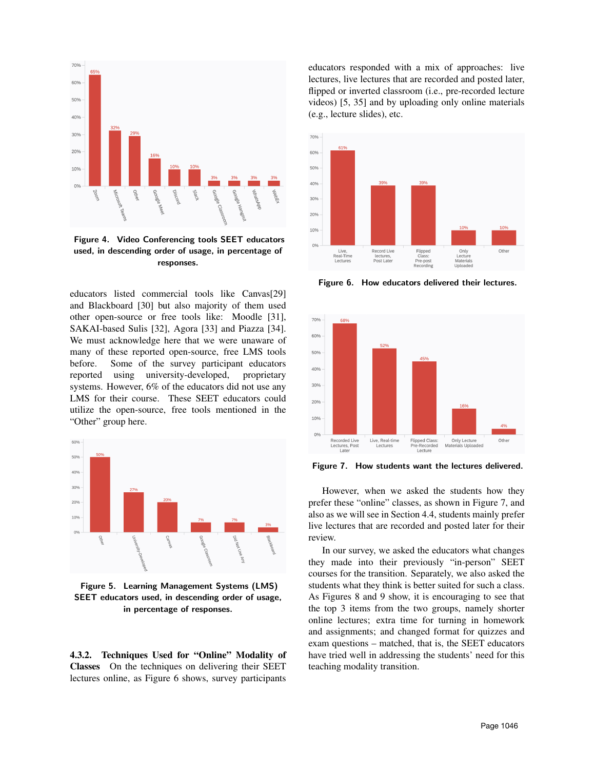

Figure 4. Video Conferencing tools SEET educators used, in descending order of usage, in percentage of responses.

educators listed commercial tools like Canvas[29] and Blackboard [30] but also majority of them used other open-source or free tools like: Moodle [31], SAKAI-based Sulis [32], Agora [33] and Piazza [34]. We must acknowledge here that we were unaware of many of these reported open-source, free LMS tools before. Some of the survey participant educators reported using university-developed, proprietary systems. However, 6% of the educators did not use any LMS for their course. These SEET educators could utilize the open-source, free tools mentioned in the "Other" group here.



Figure 5. Learning Management Systems (LMS) SEET educators used, in descending order of usage, in percentage of responses.

4.3.2. Techniques Used for "Online" Modality of Classes On the techniques on delivering their SEET lectures online, as Figure 6 shows, survey participants

educators responded with a mix of approaches: live lectures, live lectures that are recorded and posted later, flipped or inverted classroom (i.e., pre-recorded lecture videos) [5, 35] and by uploading only online materials (e.g., lecture slides), etc.



Figure 6. How educators delivered their lectures.



Figure 7. How students want the lectures delivered.

However, when we asked the students how they prefer these "online" classes, as shown in Figure 7, and also as we will see in Section 4.4, students mainly prefer live lectures that are recorded and posted later for their review.

In our survey, we asked the educators what changes they made into their previously "in-person" SEET courses for the transition. Separately, we also asked the students what they think is better suited for such a class. As Figures 8 and 9 show, it is encouraging to see that the top 3 items from the two groups, namely shorter online lectures; extra time for turning in homework and assignments; and changed format for quizzes and exam questions – matched, that is, the SEET educators have tried well in addressing the students' need for this teaching modality transition.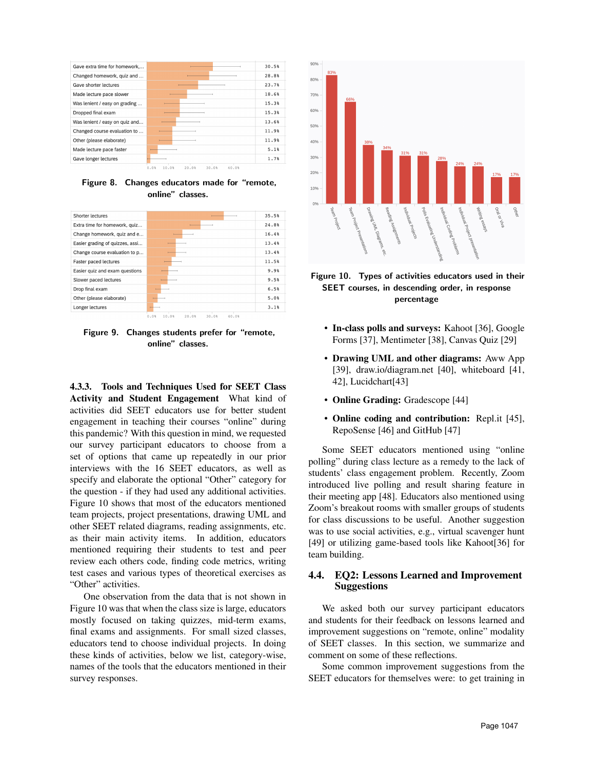

Figure 8. Changes educators made for "remote, online" classes.

| Shorter lectures                |                                          | 35.5% |
|---------------------------------|------------------------------------------|-------|
| Extra time for homework, quiz   |                                          | 24.8% |
| Change homework, quiz and e     |                                          | 16.4% |
| Easier grading of quizzes, assi |                                          | 13.4% |
| Change course evaluation to p   |                                          | 13.4% |
| Faster paced lectures           |                                          | 11.5% |
| Easier quiz and exam questions  |                                          | 9.9%  |
| Slower paced lectures           |                                          | 9.5%  |
| Drop final exam                 |                                          | 6.5%  |
| Other (please elaborate)        |                                          | 5.0%  |
| Longer lectures                 |                                          | 3.1%  |
|                                 | 10.0%<br>20.0%<br>0.0%<br>30.0%<br>40.0% |       |

Figure 9. Changes students prefer for "remote, online" classes.

4.3.3. Tools and Techniques Used for SEET Class Activity and Student Engagement What kind of activities did SEET educators use for better student engagement in teaching their courses "online" during this pandemic? With this question in mind, we requested our survey participant educators to choose from a set of options that came up repeatedly in our prior interviews with the 16 SEET educators, as well as specify and elaborate the optional "Other" category for the question - if they had used any additional activities. Figure 10 shows that most of the educators mentioned team projects, project presentations, drawing UML and other SEET related diagrams, reading assignments, etc. as their main activity items. In addition, educators mentioned requiring their students to test and peer review each others code, finding code metrics, writing test cases and various types of theoretical exercises as "Other" activities.

One observation from the data that is not shown in Figure 10 was that when the class size is large, educators mostly focused on taking quizzes, mid-term exams, final exams and assignments. For small sized classes, educators tend to choose individual projects. In doing these kinds of activities, below we list, category-wise, names of the tools that the educators mentioned in their survey responses.





- In-class polls and surveys: Kahoot [36], Google Forms [37], Mentimeter [38], Canvas Quiz [29]
- Drawing UML and other diagrams: Aww App [39], draw.io/diagram.net [40], whiteboard [41, 42], Lucidchart[43]
- Online Grading: Gradescope [44]
- Online coding and contribution: Repl.it [45], RepoSense [46] and GitHub [47]

Some SEET educators mentioned using "online polling" during class lecture as a remedy to the lack of students' class engagement problem. Recently, Zoom introduced live polling and result sharing feature in their meeting app [48]. Educators also mentioned using Zoom's breakout rooms with smaller groups of students for class discussions to be useful. Another suggestion was to use social activities, e.g., virtual scavenger hunt [49] or utilizing game-based tools like Kahoot[36] for team building.

#### 4.4. EQ2: Lessons Learned and Improvement Suggestions

We asked both our survey participant educators and students for their feedback on lessons learned and improvement suggestions on "remote, online" modality of SEET classes. In this section, we summarize and comment on some of these reflections.

Some common improvement suggestions from the SEET educators for themselves were: to get training in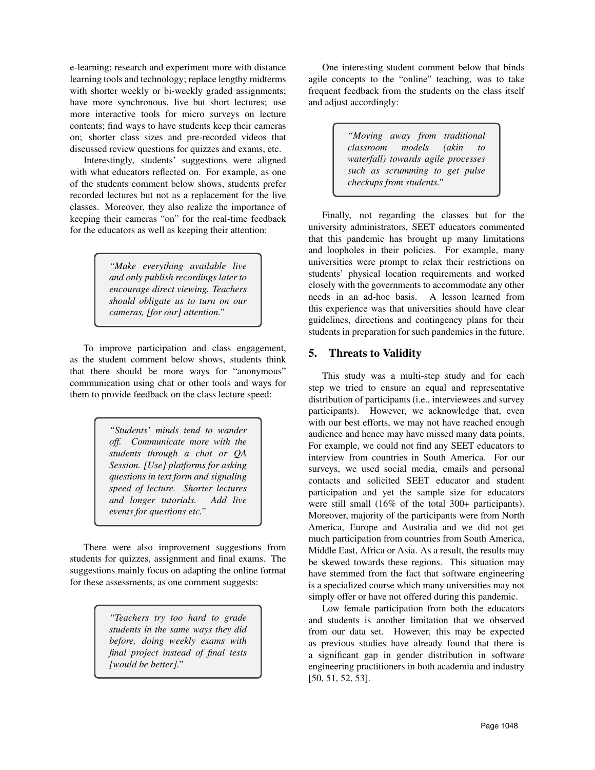e-learning; research and experiment more with distance learning tools and technology; replace lengthy midterms with shorter weekly or bi-weekly graded assignments; have more synchronous, live but short lectures; use more interactive tools for micro surveys on lecture contents; find ways to have students keep their cameras on; shorter class sizes and pre-recorded videos that discussed review questions for quizzes and exams, etc.

Interestingly, students' suggestions were aligned with what educators reflected on. For example, as one of the students comment below shows, students prefer recorded lectures but not as a replacement for the live classes. Moreover, they also realize the importance of keeping their cameras "on" for the real-time feedback for the educators as well as keeping their attention:

> *"Make everything available live and only publish recordings later to encourage direct viewing. Teachers should obligate us to turn on our cameras, [for our] attention."*

To improve participation and class engagement, as the student comment below shows, students think that there should be more ways for "anonymous" communication using chat or other tools and ways for them to provide feedback on the class lecture speed:

> *"Students' minds tend to wander off. Communicate more with the students through a chat or QA Session. [Use] platforms for asking questions in text form and signaling speed of lecture. Shorter lectures and longer tutorials. Add live events for questions etc."*

There were also improvement suggestions from students for quizzes, assignment and final exams. The suggestions mainly focus on adapting the online format for these assessments, as one comment suggests:

> *"Teachers try too hard to grade students in the same ways they did before, doing weekly exams with final project instead of final tests [would be better]."*

One interesting student comment below that binds agile concepts to the "online" teaching, was to take frequent feedback from the students on the class itself and adjust accordingly:

> *"Moving away from traditional*  $classroom$  *models waterfall) towards agile processes such as scrumming to get pulse checkups from students."*

Finally, not regarding the classes but for the university administrators, SEET educators commented that this pandemic has brought up many limitations and loopholes in their policies. For example, many universities were prompt to relax their restrictions on students' physical location requirements and worked closely with the governments to accommodate any other needs in an ad-hoc basis. A lesson learned from this experience was that universities should have clear guidelines, directions and contingency plans for their students in preparation for such pandemics in the future.

## 5. Threats to Validity

This study was a multi-step study and for each step we tried to ensure an equal and representative distribution of participants (i.e., interviewees and survey participants). However, we acknowledge that, even with our best efforts, we may not have reached enough audience and hence may have missed many data points. For example, we could not find any SEET educators to interview from countries in South America. For our surveys, we used social media, emails and personal contacts and solicited SEET educator and student participation and yet the sample size for educators were still small (16% of the total 300+ participants). Moreover, majority of the participants were from North America, Europe and Australia and we did not get much participation from countries from South America, Middle East, Africa or Asia. As a result, the results may be skewed towards these regions. This situation may have stemmed from the fact that software engineering is a specialized course which many universities may not simply offer or have not offered during this pandemic.

Low female participation from both the educators and students is another limitation that we observed from our data set. However, this may be expected as previous studies have already found that there is a significant gap in gender distribution in software engineering practitioners in both academia and industry [50, 51, 52, 53].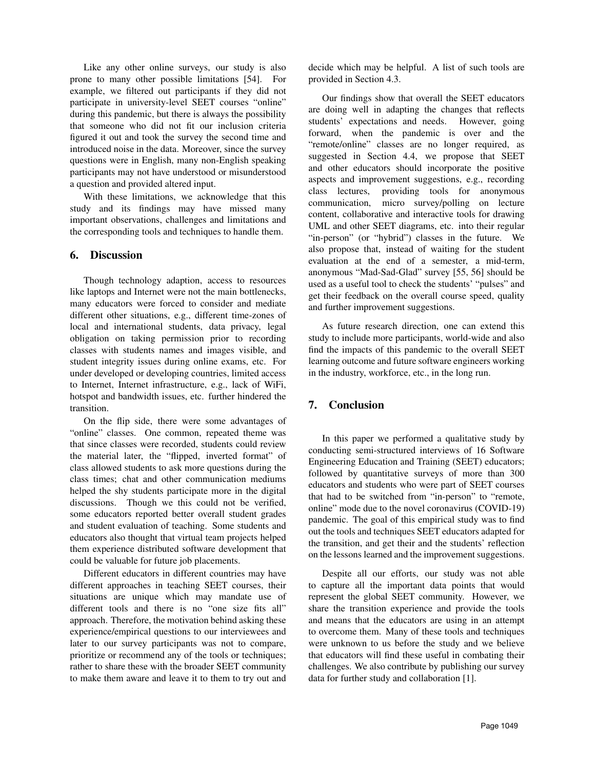Like any other online surveys, our study is also prone to many other possible limitations [54]. For example, we filtered out participants if they did not participate in university-level SEET courses "online" during this pandemic, but there is always the possibility that someone who did not fit our inclusion criteria figured it out and took the survey the second time and introduced noise in the data. Moreover, since the survey questions were in English, many non-English speaking participants may not have understood or misunderstood a question and provided altered input.

With these limitations, we acknowledge that this study and its findings may have missed many important observations, challenges and limitations and the corresponding tools and techniques to handle them.

## 6. Discussion

Though technology adaption, access to resources like laptops and Internet were not the main bottlenecks, many educators were forced to consider and mediate different other situations, e.g., different time-zones of local and international students, data privacy, legal obligation on taking permission prior to recording classes with students names and images visible, and student integrity issues during online exams, etc. For under developed or developing countries, limited access to Internet, Internet infrastructure, e.g., lack of WiFi, hotspot and bandwidth issues, etc. further hindered the transition.

On the flip side, there were some advantages of "online" classes. One common, repeated theme was that since classes were recorded, students could review the material later, the "flipped, inverted format" of class allowed students to ask more questions during the class times; chat and other communication mediums helped the shy students participate more in the digital discussions. Though we this could not be verified, some educators reported better overall student grades and student evaluation of teaching. Some students and educators also thought that virtual team projects helped them experience distributed software development that could be valuable for future job placements.

Different educators in different countries may have different approaches in teaching SEET courses, their situations are unique which may mandate use of different tools and there is no "one size fits all" approach. Therefore, the motivation behind asking these experience/empirical questions to our interviewees and later to our survey participants was not to compare, prioritize or recommend any of the tools or techniques; rather to share these with the broader SEET community to make them aware and leave it to them to try out and decide which may be helpful. A list of such tools are provided in Section 4.3.

Our findings show that overall the SEET educators are doing well in adapting the changes that reflects students' expectations and needs. However, going forward, when the pandemic is over and the "remote/online" classes are no longer required, as suggested in Section 4.4, we propose that SEET and other educators should incorporate the positive aspects and improvement suggestions, e.g., recording class lectures, providing tools for anonymous communication, micro survey/polling on lecture content, collaborative and interactive tools for drawing UML and other SEET diagrams, etc. into their regular "in-person" (or "hybrid") classes in the future. We also propose that, instead of waiting for the student evaluation at the end of a semester, a mid-term, anonymous "Mad-Sad-Glad" survey [55, 56] should be used as a useful tool to check the students' "pulses" and get their feedback on the overall course speed, quality and further improvement suggestions.

As future research direction, one can extend this study to include more participants, world-wide and also find the impacts of this pandemic to the overall SEET learning outcome and future software engineers working in the industry, workforce, etc., in the long run.

## 7. Conclusion

In this paper we performed a qualitative study by conducting semi-structured interviews of 16 Software Engineering Education and Training (SEET) educators; followed by quantitative surveys of more than 300 educators and students who were part of SEET courses that had to be switched from "in-person" to "remote, online" mode due to the novel coronavirus (COVID-19) pandemic. The goal of this empirical study was to find out the tools and techniques SEET educators adapted for the transition, and get their and the students' reflection on the lessons learned and the improvement suggestions.

Despite all our efforts, our study was not able to capture all the important data points that would represent the global SEET community. However, we share the transition experience and provide the tools and means that the educators are using in an attempt to overcome them. Many of these tools and techniques were unknown to us before the study and we believe that educators will find these useful in combating their challenges. We also contribute by publishing our survey data for further study and collaboration [1].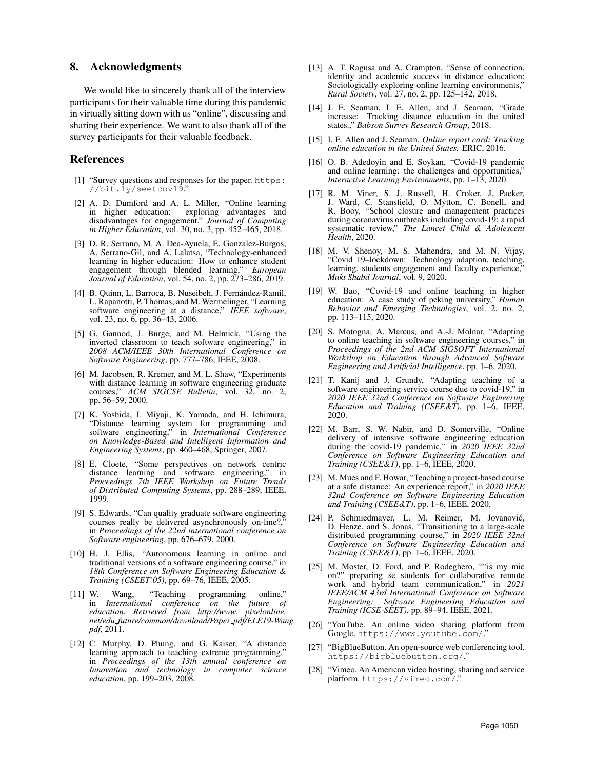### 8. Acknowledgments

We would like to sincerely thank all of the interview participants for their valuable time during this pandemic in virtually sitting down with us "online", discussing and sharing their experience. We want to also thank all of the survey participants for their valuable feedback.

#### References

- [1] "Survey questions and responses for the paper. https: //bit.ly/seetcov19."
- [2] A. D. Dumford and A. L. Miller, "Online learning in higher education: exploring advantages and disadvantages for engagement," *Journal of Computing in Higher Education*, vol. 30, no. 3, pp. 452–465, 2018.
- [3] D. R. Serrano, M. A. Dea-Ayuela, E. Gonzalez-Burgos, A. Serrano-Gil, and A. Lalatsa, "Technology-enhanced learning in higher education: How to enhance student engagement through blended learning," *European Journal of Education*, vol. 54, no. 2, pp. 273–286, 2019.
- [4] B. Quinn, L. Barroca, B. Nuseibeh, J. Fernández-Ramil, L. Rapanotti, P. Thomas, and M. Wermelinger, "Learning software engineering at a distance," *IEEE software*, vol. 23, no. 6, pp. 36–43, 2006.
- [5] G. Gannod, J. Burge, and M. Helmick, "Using the inverted classroom to teach software engineering," in *2008 ACM/IEEE 30th International Conference on Software Engineering*, pp. 777–786, IEEE, 2008.
- [6] M. Jacobsen, R. Kremer, and M. L. Shaw, "Experiments with distance learning in software engineering graduate courses," *ACM SIGCSE Bulletin*, vol. 32, no. 2, pp. 56–59, 2000.
- [7] K. Yoshida, I. Miyaji, K. Yamada, and H. Ichimura, "Distance learning system for programming and software engineering," in *International Conference on Knowledge-Based and Intelligent Information and Engineering Systems*, pp. 460–468, Springer, 2007.
- [8] E. Cloete, "Some perspectives on network centric distance learning and software engineering," in *Proceedings 7th IEEE Workshop on Future Trends of Distributed Computing Systems*, pp. 288–289, IEEE, 1999.
- [9] S. Edwards, "Can quality graduate software engineering courses really be delivered asynchronously on-line?, in *Proceedings of the 22nd international conference on Software engineering*, pp. 676–679, 2000.
- [10] H. J. Ellis, "Autonomous learning in online and traditional versions of a software engineering course," in *18th Conference on Software Engineering Education & Training (CSEET'05)*, pp. 69–76, IEEE, 2005.
- [11] W. Wang, "Teaching programming online," in *International conference on the future of education. Retrieved from http://www. pixelonline. net/edu future/common/download/Paper pdf/ELE19-Wang. pdf*, 2011.
- [12] C. Murphy, D. Phung, and G. Kaiser, "A distance learning approach to teaching extreme programming," in *Proceedings of the 13th annual conference on Innovation and technology in computer science education*, pp. 199–203, 2008.
- [13] A. T. Ragusa and A. Crampton, "Sense of connection, identity and academic success in distance education: Sociologically exploring online learning environments," *Rural Society*, vol. 27, no. 2, pp. 125–142, 2018.
- [14] J. E. Seaman, I. E. Allen, and J. Seaman, "Grade increase: Tracking distance education in the united states.," *Babson Survey Research Group*, 2018.
- [15] I. E. Allen and J. Seaman, *Online report card: Tracking online education in the United States.* ERIC, 2016.
- [16] O. B. Adedoyin and E. Soykan, "Covid-19 pandemic and online learning: the challenges and opportunities," *Interactive Learning Environments*, pp. 1–13, 2020.
- [17] R. M. Viner, S. J. Russell, H. Croker, J. Packer, J. Ward, C. Stansfield, O. Mytton, C. Bonell, and R. Booy, "School closure and management practices during coronavirus outbreaks including covid-19: a rapid systematic review," *The Lancet Child & Adolescent Health*, 2020.
- [18] M. V. Shenoy, M. S. Mahendra, and M. N. Vijay, "Covid 19–lockdown: Technology adaption, teaching, learning, students engagement and faculty experience, *Mukt Shabd Journal*, vol. 9, 2020.
- [19] W. Bao, "Covid-19 and online teaching in higher education: A case study of peking university," *Human Behavior and Emerging Technologies*, vol. 2, no. 2, pp. 113–115, 2020.
- [20] S. Motogna, A. Marcus, and A.-J. Molnar, "Adapting to online teaching in software engineering courses," in *Proceedings of the 2nd ACM SIGSOFT International Workshop on Education through Advanced Software Engineering and Artificial Intelligence*, pp. 1–6, 2020.
- [21] T. Kanij and J. Grundy, "Adapting teaching of a software engineering service course due to covid-19," in *2020 IEEE 32nd Conference on Software Engineering Education and Training (CSEE&T)*, pp. 1–6, IEEE, 2020.
- [22] M. Barr, S. W. Nabir, and D. Somerville, "Online delivery of intensive software engineering education during the covid-19 pandemic," in *2020 IEEE 32nd Conference on Software Engineering Education and Training (CSEE&T)*, pp. 1–6, IEEE, 2020.
- [23] M. Mues and F. Howar, "Teaching a project-based course at a safe distance: An experience report," in *2020 IEEE 32nd Conference on Software Engineering Education and Training (CSEE&T)*, pp. 1–6, IEEE, 2020.
- [24] P. Schmiedmayer, L. M. Reimer, M. Jovanović, D. Henze, and S. Jonas, "Transitioning to a large-scale distributed programming course," in *2020 IEEE 32nd Conference on Software Engineering Education and Training (CSEE&T)*, pp. 1–6, IEEE, 2020.
- [25] M. Moster, D. Ford, and P. Rodeghero, ""is my mic on?" preparing se students for collaborative remote work and hybrid team communication," in *2021 IEEE/ACM 43rd International Conference on Software Engineering: Software Engineering Education and Training (ICSE-SEET)*, pp. 89–94, IEEE, 2021.
- [26] "YouTube. An online video sharing platform from Google. https://www.youtube.com/."
- [27] "BigBlueButton. An open-source web conferencing tool. https://bigbluebutton.org/."
- [28] "Vimeo. An American video hosting, sharing and service platform. https://vimeo.com/."